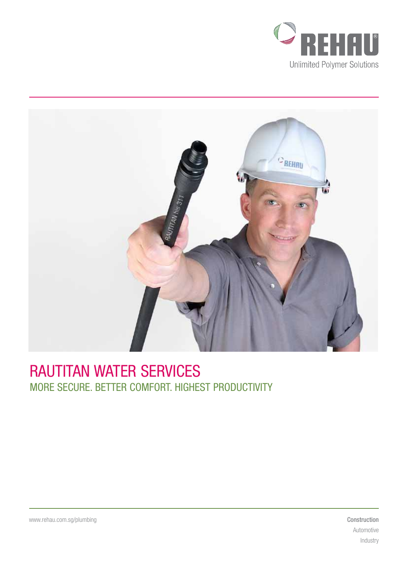



# **RAUTITAN WATER SERVICES** MORE SECURE. BETTER COMFORT. HIGHEST PRODUCTIVITY

www.rehau.com.sg/plumbing construction

Automotive Industry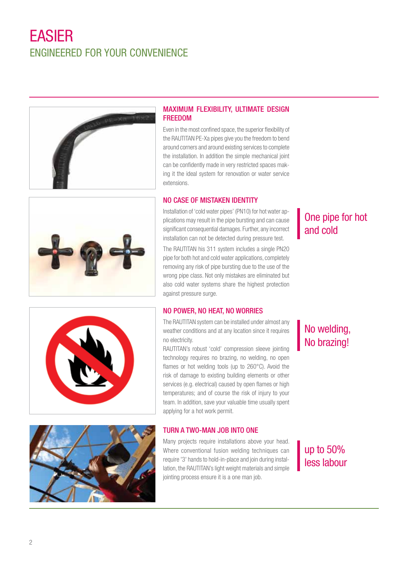# EASIER ENGINEERED FOR YOUR CONVENIENCE



### MAXIMUM FLEXIBILITY, ULTIMATE DESIGN FREEDOM

Even in the most confined space, the superior flexibility of the RAUTITAN PE-Xa pipes give you the freedom to bend around corners and around existing services to complete the installation. In addition the simple mechanical joint can be confidently made in very restricted spaces making it the ideal system for renovation or water service extensions.

### no case of mistaken identity

Installation of 'cold water pipes' (PN10) for hot water applications may result in the pipe bursting and can cause significant consequential damages. Further, any incorrect installation can not be detected during pressure test.

The RAUTITAN his 311 system includes a single PN20 pipe for both hot and cold water applications, completely removing any risk of pipe bursting due to the use of the wrong pipe class. Not only mistakes are eliminated but also cold water systems share the highest protection against pressure surge.

### One pipe for hot and cold



### NO POWER, NO HEAT, NO WORRIES

The RAUTITAN system can be installed under almost any weather conditions and at any location since it requires no electricity.

RAUTITAN's robust 'cold' compression sleeve jointing technology requires no brazing, no welding, no open flames or hot welding tools (up to 260°C). Avoid the risk of damage to existing building elements or other services (e.g. electrical) caused by open flames or high temperatures; and of course the risk of injury to your team. In addition, save your valuable time usually spent applying for a hot work permit.

### No welding, No brazing!



### Turn a Two-Man Job into One

Many projects require installations above your head. Where conventional fusion welding techniques can require '3' hands to hold-in-place and join during installation, the RAUTITAN's light weight materials and simple jointing process ensure it is a one man job.

up to 50% less labour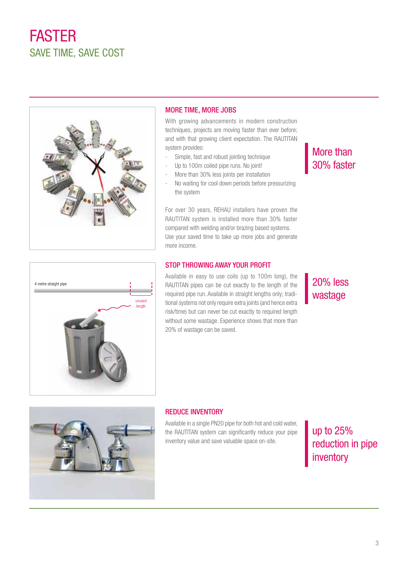# FASTER SAVE TIME, SAVE COST



### MORE TIME, MORE JOBS

With growing advancements in modern construction techniques, projects are moving faster than ever before; and with that growing client expectation. The RAUTITAN system provides:

- Simple, fast and robust jointing technique
- Up to 100m coiled pipe runs. No joint!
- More than 30% less joints per installation
- No waiting for cool down periods before pressurizing the system

For over 30 years, REHAU installers have proven the RAUTITAN system is installed more than 30% faster compared with welding and/or brazing based systems. Use your saved time to take up more jobs and generate more income.

#### STOP THROWING AWAY YOUR PROFIT

Available in easy to use coils (up to 100m long), the RAUTITAN pipes can be cut exactly to the length of the

### More than 30% faster



required pipe run. Available in straight lengths only; traditional systems not only require extra joints (and hence extra risk/time) but can never be cut exactly to required length without some wastage. Experience shows that more than 20% of wastage can be saved.

### 20% less wastage



### REDUCE INVENTORY

Available in a single PN20 pipe for both hot and cold water, the RAUTITAN system can significantly reduce your pipe inventory value and save valuable space on-site.

up to 25% reduction in pipe inventory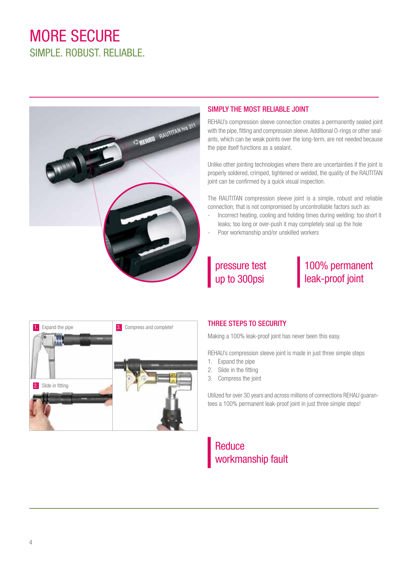# MORE SECURE SIMPLE. ROBUST. RELIABLE.



### SIMPLY THE MOST RELIABLE JOINT

REHAU's compression sleeve connection creates a permanently sealed joint with the pipe, fitting and compression sleeve. Additional O-rings or other sealants, which can be weak points over the long-term, are not needed because the pipe itself functions as a sealant.

Unlike other jointing technologies where there are uncertainties if the joint is properly soldered, crimped, tightened or welded, the quality of the RAUTITAN joint can be confirmed by a quick visual inspection.

The RAUTITAN compression sleeve joint is a simple, robust and reliable connection; that is not compromised by uncontrollable factors such as:

- Incorrect heating, cooling and holding times during welding: too short it leaks; too long or over-push it may completely seal up the hole
- Poor workmanship and/or unskilled workers

pressure test up to 300psi

100% permanent leak-proof joint



### THREE STEPS TO SECURITY

Making a 100% leak-proof joint has never been this easy.

REHAU's compression sleeve joint is made in just three simple steps

- 1. Expand the pipe
- 2. Slide in the fitting
- 3. Compress the joint

Utilized for over 30 years and across millions of connections REHAU guarantees a 100% permanent leak-proof joint in just three simple steps!

**Reduce** workmanship fault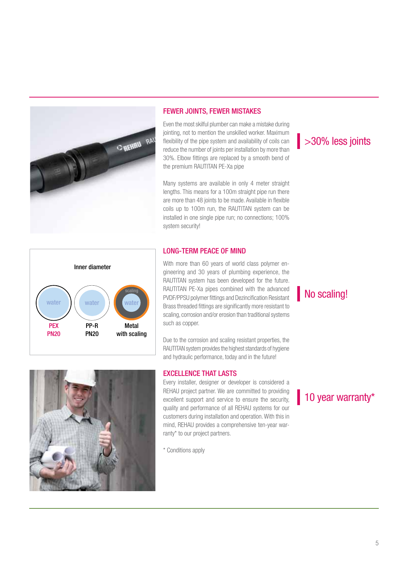

### FEWER JOINTS, FEWER MISTAKES

Even the most skilful plumber can make a mistake during jointing, not to mention the unskilled worker. Maximum flexibility of the pipe system and availability of coils can reduce the number of joints per installation by more than 30%. Elbow fittings are replaced by a smooth bend of the premium RAUTITAN PE-Xa pipe

Many systems are available in only 4 meter straight lengths. This means for a 100m straight pipe run there are more than 48 joints to be made. Available in flexible coils up to 100m run, the RAUTITAN system can be installed in one single pipe run; no connections; 100% system security!

### LONG-TERM PEACE OF MIND



With more than 60 years of world class polymer engineering and 30 years of plumbing experience, the RAUTITAN system has been developed for the future. RAUTITAN PE-Xa pipes combined with the advanced PVDF/PPSU polymer fittings and Dezincification Resistant Brass threaded fittings are significantly more resistant to scaling, corrosion and/or erosion than traditional systems such as copper.

Due to the corrosion and scaling resistant properties, the RAUTITAN system provides the highest standards of hygiene and hydraulic performance, today and in the future!

#### EXCELLENCE THAT LASTS

Every installer, designer or developer is considered a REHAU project partner. We are committed to providing excellent support and service to ensure the security, quality and performance of all REHAU systems for our customers during installation and operation. With this in mind, REHAU provides a comprehensive ten-year warranty\* to our project partners.

\* Conditions apply



>30% less joints

### 10 year warranty\*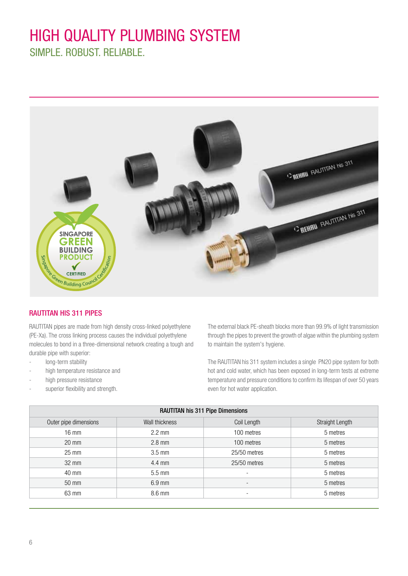# high quality plumbing system

simple. robust. reliable.



### rautitan his 311 pipes

RAUTITAN pipes are made from high density cross-linked polyethylene (PE-Xa). The cross linking process causes the individual polyethylene molecules to bond in a three-dimensional network creating a tough and durable pipe with superior:

- long-term stability
- high temperature resistance and
- high pressure resistance
- superior flexibility and strength.

The external black PE-sheath blocks more than 99.9% of light transmission through the pipes to prevent the growth of algae within the plumbing system to maintain the system's hygiene.

The RAUTITAN his 311 system includes a single PN20 pipe system for both hot and cold water, which has been exposed in long-term tests at extreme temperature and pressure conditions to confirm its lifespan of over 50 years even for hot water application.

| <b>RAUTITAN his 311 Pipe Dimensions</b> |                  |                          |                 |
|-----------------------------------------|------------------|--------------------------|-----------------|
| Outer pipe dimensions                   | Wall thickness   | Coil Length              | Straight Length |
| $16 \text{ mm}$                         | $2.2 \text{ mm}$ | 100 metres               | 5 metres        |
| $20 \text{ mm}$                         | $2.8$ mm         | 100 metres               | 5 metres        |
| $25 \text{ mm}$                         | $3.5 \text{ mm}$ | 25/50 metres             | 5 metres        |
| $32 \text{ mm}$                         | $4.4 \text{ mm}$ | 25/50 metres             | 5 metres        |
| 40 mm                                   | $5.5 \text{ mm}$ | $\overline{a}$           | 5 metres        |
| 50 mm                                   | $6.9$ mm         |                          | 5 metres        |
| 63 mm                                   | 8.6 mm           | $\overline{\phantom{a}}$ | 5 metres        |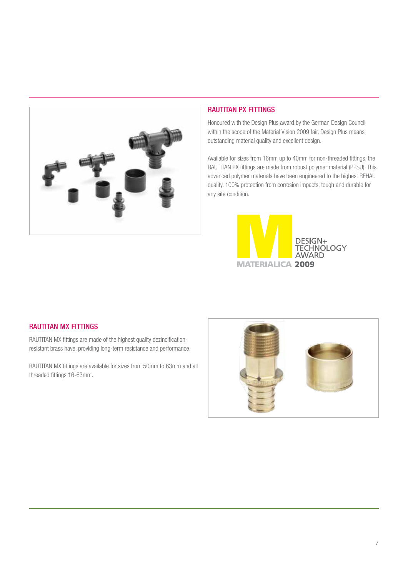

### rautitan PX FITTINGS

Honoured with the Design Plus award by the German Design Council within the scope of the Material Vision 2009 fair. Design Plus means outstanding material quality and excellent design.

Available for sizes from 16mm up to 40mm for non-threaded fittings, the RAUTITAN PX fittings are made from robust polymer material (PPSU). This advanced polymer materials have been engineered to the highest REHAU quality. 100% protection from corrosion impacts, tough and durable for any site condition.



### rautitan MX FITTINGS

RAUTITAN MX fittings are made of the highest quality dezincificationresistant brass have, providing long-term resistance and performance.

RAUTITAN MX fittings are available for sizes from 50mm to 63mm and all threaded fittings 16-63mm.

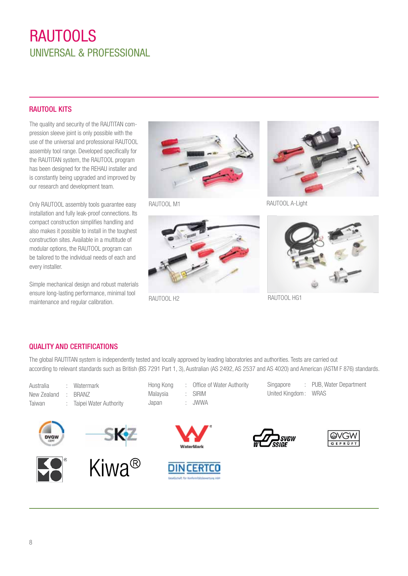# RAUTOOLS UNIVERSAL & PROFESSIONAL

### **RAUTOOL KITS**

The quality and security of the RAUTITAN compression sleeve joint is only possible with the use of the universal and professional RAUTOOL assembly tool range. Developed specifically for the RAUTITAN system, the RAUTOOL program has been designed for the REHAU installer and is constantly being upgraded and improved by our research and development team.

Only RAUTOOL assembly tools guarantee easy installation and fully leak-proof connections. Its compact construction simplifies handling and also makes it possible to install in the toughest construction sites. Available in a multitude of modular options, the RAUTOOL program can be tailored to the individual needs of each and every installer.

Simple mechanical design and robust materials ensure long-lasting performance, minimal tool maintenance and regular calibration.



RAUTOOL M1



RAUTOOL H2



RAUTOOL A-Light



RAUTOOL HG1

### Quality and certifications

The global RAUTITAN system is independently tested and locally approved by leading laboratories and authorities. Tests are carried out according to relevant standards such as British (BS 7291 Part 1, 3), Australian (AS 2492, AS 2537 and AS 4020) and American (ASTM F 876) standards.

| Australia   |  |
|-------------|--|
| New Zealand |  |
| Taiwan      |  |

: Watermark : BRANZ Taipei Water Authority



Hong Kong : Office of Water Authority

Singapore : PUB, Water Department United Kingdom: WRAS











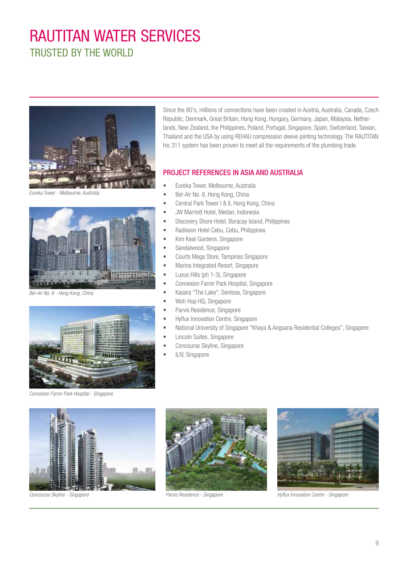# RAUTITAN Water ServiceS TRUSTED BY THE WORLD



Eureka Tower - Melbourne, Australia



Bel-Air No. 8 - Hong Kong, China



Connexion Farrer Park Hospital - Singapore



Concourse Skyline - Singapore **Parvis Residence - Singapore** Parvis Residence - Singapore Parvis Residence - Singapore **Hyflux Innovation Centre - Singapore** 

Since the 80's, millions of connections have been created in Austria, Australia, Canada, Czech Republic, Denmark, Great Britain, Hong Kong, Hungary, Germany, Japan, Malaysia, Netherlands, New Zealand, the Philippines, Poland, Portugal, Singapore, Spain, Switzerland, Taiwan, Thailand and the USA by using REHAU compression sleeve jointing technology. The RAUTITAN his 311 system has been proven to meet all the requirements of the plumbing trade.

### Project references in Asia and Australia

- Eureka Tower, Melbourne, Australia
- Bel-Air No. 8, Hong Kong, China
- Central Park Tower I & II, Hong Kong, China
- JW Marriott Hotel, Medan, Indonesia
- Discovery Shore Hotel, Boracay Island, Philippines
- Radisson Hotel Cebu, Cebu, Philippines
- Kim Keat Gardens, Singapore
- Sandalwood, Singapore
- Courts Mega Store, Tampines Singapore
- Marina Integrated Resort, Singapore
- Luxus Hills (ph 1-3), Singapore
- Connexion Farrer Park Hospital, Singapore
- Kasara "The Lake", Sentosa, Singapore
- Woh Hup HQ, Singapore
- Parvis Residence, Singapore
- Hyflux Innovation Centre, Singapore
- National University of Singapore "Khaya & Angsana Residential Colleges", Singapore
- Lincoln Suites, Singapore
- Concourse Skyline, Singapore
- iLIV, Singapore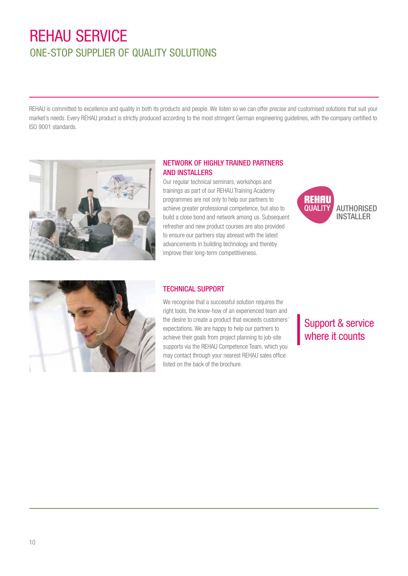# REHAU SERVICE One-Stop Supplier of Quality Solutions

REHAU is committed to excellence and quality in both its products and people. We listen so we can offer precise and customised solutions that suit your market's needs. Every REHAU product is strictly produced according to the most stringent German engineering guidelines, with the company certified to ISO 9001 standards.



### Network of highly trained partners and installers

Our regular technical seminars, workshops and trainings as part of our REHAU Training Academy programmes are not only to help our partners to achieve greater professional competence, but also to build a close bond and network among us. Subsequent refresher and new product courses are also provided to ensure our partners stay abreast with the latest advancements in building technology and thereby improve their long-term competitiveness.





### Technical Support

We recognise that a successful solution requires the right tools, the know-how of an experienced team and the desire to create a product that exceeds customers' expectations. We are happy to help our partners to achieve their goals from project planning to job-site supports via the REHAU Competence Team, which you may contact through your nearest REHAU sales office listed on the back of the brochure.

### Support & service where it counts